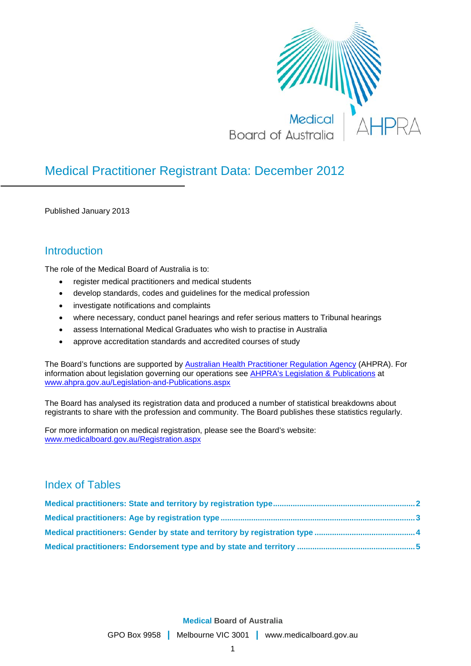

# Medical Practitioner Registrant Data: December 2012

Published January 2013

### **Introduction**

The role of the Medical Board of Australia is to:

- register medical practitioners and medical students
- develop standards, codes and guidelines for the medical profession
- investigate notifications and complaints
- where necessary, conduct panel hearings and refer serious matters to Tribunal hearings
- assess International Medical Graduates who wish to practise in Australia
- approve accreditation standards and accredited courses of study

The Board's functions are supported by [Australian Health Practitioner Regulation Agency](http://www.ahpra.gov.au/About-AHPRA/What-We-Do.aspx) (AHPRA). For information about legislation governing our operations see [AHPRA's Legislation & Publications](http://www.ahpra.gov.au/Legislation-and-Publications.aspx) at [www.ahpra.gov.au/Legislation-and-Publications.aspx](http://www.ahpra.gov.au/Legislation-and-Publications.aspx)

The Board has analysed its registration data and produced a number of statistical breakdowns about registrants to share with the profession and community. The Board publishes these statistics regularly.

For more information on medical registration, please see the Board's website: [www.medicalboard.gov.au/Registration.aspx](http://www.medicalboard.gov.au/Registration.aspx)

### Index of Tables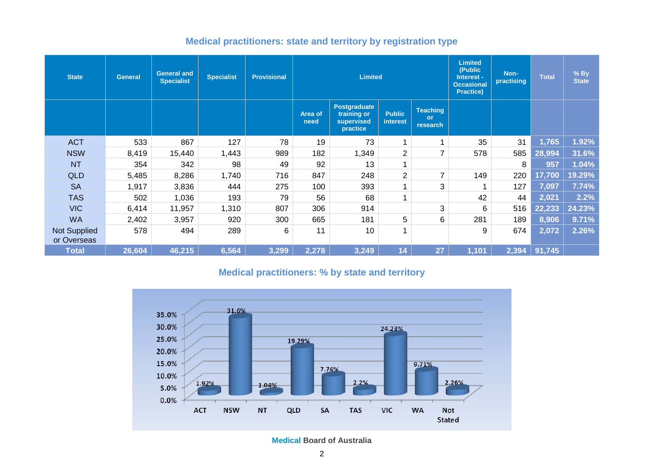| Medical practitioners: state and territory by registration type |  |  |  |  |  |  |  |
|-----------------------------------------------------------------|--|--|--|--|--|--|--|
|-----------------------------------------------------------------|--|--|--|--|--|--|--|

| <b>State</b>                       | <b>General</b> | <b>General and</b><br><b>Specialist</b> | <b>Specialist</b> | <b>Provisional</b> |                 | <b>Limited</b>                                               |                           |                                          | <b>Limited</b><br>(Public<br>Interest -<br><b>Occasional</b><br><b>Practice)</b> | Non-<br>practising | <b>Total</b> | % By<br><b>State</b> |
|------------------------------------|----------------|-----------------------------------------|-------------------|--------------------|-----------------|--------------------------------------------------------------|---------------------------|------------------------------------------|----------------------------------------------------------------------------------|--------------------|--------------|----------------------|
|                                    |                |                                         |                   |                    | Area of<br>need | <b>Postgraduate</b><br>training or<br>supervised<br>practice | <b>Public</b><br>interest | <b>Teaching</b><br><b>or</b><br>research |                                                                                  |                    |              |                      |
| <b>ACT</b>                         | 533            | 867                                     | 127               | 78                 | 19              | 73                                                           | 1                         | 4                                        | 35                                                                               | 31                 | 1,765        | 1.92%                |
| <b>NSW</b>                         | 8,419          | 15,440                                  | 1,443             | 989                | 182             | 1,349                                                        | 2                         | 7                                        | 578                                                                              | 585                | 28,994       | 31.6%                |
| <b>NT</b>                          | 354            | 342                                     | 98                | 49                 | 92              | 13                                                           |                           |                                          |                                                                                  | 8                  | 957          | 1.04%                |
| <b>QLD</b>                         | 5,485          | 8,286                                   | 1,740             | 716                | 847             | 248                                                          | $\overline{2}$            | 7                                        | 149                                                                              | 220                | 17,700       | 19.29%               |
| <b>SA</b>                          | 1,917          | 3,836                                   | 444               | 275                | 100             | 393                                                          |                           | 3                                        |                                                                                  | 127                | 7,097        | 7.74%                |
| <b>TAS</b>                         | 502            | 1,036                                   | 193               | 79                 | 56              | 68                                                           | 4                         |                                          | 42                                                                               | 44                 | 2,021        | 2.2%                 |
| <b>VIC</b>                         | 6,414          | 11,957                                  | 1,310             | 807                | 306             | 914                                                          |                           | 3                                        | 6                                                                                | 516                | 22,233       | 24.23%               |
| <b>WA</b>                          | 2,402          | 3,957                                   | 920               | 300                | 665             | 181                                                          | 5                         | 6                                        | 281                                                                              | 189                | 8,906        | 9.71%                |
| <b>Not Supplied</b><br>or Overseas | 578            | 494                                     | 289               | 6                  | 11              | 10                                                           |                           |                                          | 9                                                                                | 674                | 2,072        | 2.26%                |
| <b>Total</b>                       | 26,604         | 46,215                                  | 6,564             | 3,299              | 2,278           | 3,249                                                        | 14                        | 27                                       | 1,101                                                                            | 2,394              | 91,745       |                      |

### **Medical practitioners: % by state and territory**

<span id="page-1-0"></span>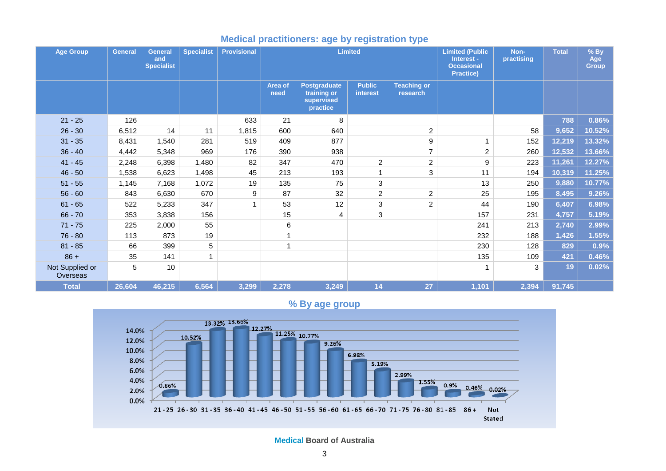| <b>Age Group</b>            | <b>General</b> | <b>General</b><br>and<br><b>Specialist</b> | <b>Specialist</b> | <b>Provisional</b> |                 |                                                              | <b>Limited</b>            |                                | <b>Limited (Public</b><br>Interest -<br><b>Occasional</b><br>Practice) | Non-<br>practising | <b>Total</b> | $%$ By<br>Age<br><b>Group</b> |
|-----------------------------|----------------|--------------------------------------------|-------------------|--------------------|-----------------|--------------------------------------------------------------|---------------------------|--------------------------------|------------------------------------------------------------------------|--------------------|--------------|-------------------------------|
|                             |                |                                            |                   |                    | Area of<br>need | <b>Postgraduate</b><br>training or<br>supervised<br>practice | <b>Public</b><br>interest | <b>Teaching or</b><br>research |                                                                        |                    |              |                               |
| $21 - 25$                   | 126            |                                            |                   | 633                | 21              | 8                                                            |                           |                                |                                                                        |                    | 788          | 0.86%                         |
| $26 - 30$                   | 6,512          | 14                                         | 11                | 1,815              | 600             | 640                                                          |                           | $\overline{2}$                 |                                                                        | 58                 | 9,652        | 10.52%                        |
| $31 - 35$                   | 8,431          | 1,540                                      | 281               | 519                | 409             | 877                                                          |                           | 9                              | 1                                                                      | 152                | 12,219       | 13.32%                        |
| $36 - 40$                   | 4,442          | 5,348                                      | 969               | 176                | 390             | 938                                                          |                           | $\overline{7}$                 | $\overline{c}$                                                         | 260                | 12,532       | 13.66%                        |
| $41 - 45$                   | 2,248          | 6,398                                      | 1,480             | 82                 | 347             | 470                                                          | $\overline{c}$            | $\overline{c}$                 | 9                                                                      | 223                | 11,261       | 12.27%                        |
| $46 - 50$                   | 1,538          | 6,623                                      | 1,498             | 45                 | 213             | 193                                                          | $\mathbf{1}$              | 3                              | 11                                                                     | 194                | 10,319       | 11.25%                        |
| $51 - 55$                   | 1,145          | 7,168                                      | 1,072             | 19                 | 135             | 75                                                           | $\sqrt{3}$                |                                | 13                                                                     | 250                | 9,880        | 10.77%                        |
| $56 - 60$                   | 843            | 6,630                                      | 670               | 9                  | 87              | 32                                                           | $\overline{2}$            | $\overline{2}$                 | 25                                                                     | 195                | 8,495        | 9.26%                         |
| $61 - 65$                   | 522            | 5,233                                      | 347               | $\mathbf{1}$       | 53              | 12                                                           | $\sqrt{3}$                | $\overline{c}$                 | 44                                                                     | 190                | 6,407        | 6.98%                         |
| $66 - 70$                   | 353            | 3,838                                      | 156               |                    | 15              | 4                                                            | 3                         |                                | 157                                                                    | 231                | 4,757        | 5.19%                         |
| $71 - 75$                   | 225            | 2,000                                      | 55                |                    | 6               |                                                              |                           |                                | 241                                                                    | 213                | 2,740        | 2.99%                         |
| $76 - 80$                   | 113            | 873                                        | 19                |                    |                 |                                                              |                           |                                | 232                                                                    | 188                | 1,426        | 1.55%                         |
| $81 - 85$                   | 66             | 399                                        | 5                 |                    |                 |                                                              |                           |                                | 230                                                                    | 128                | 829          | 0.9%                          |
| $86 +$                      | 35             | 141                                        | 1                 |                    |                 |                                                              |                           |                                | 135                                                                    | 109                | 421          | 0.46%                         |
| Not Supplied or<br>Overseas | 5              | 10                                         |                   |                    |                 |                                                              |                           |                                |                                                                        | 3                  | 19           | 0.02%                         |
| <b>Total</b>                | 26,604         | 46,215                                     | 6,564             | 3,299              | 2,278           | 3,249                                                        | 14                        | 27                             | 1,101                                                                  | 2,394              | 91,745       |                               |

#### **Medical practitioners: age by registration type**

**% By age group**

<span id="page-2-0"></span>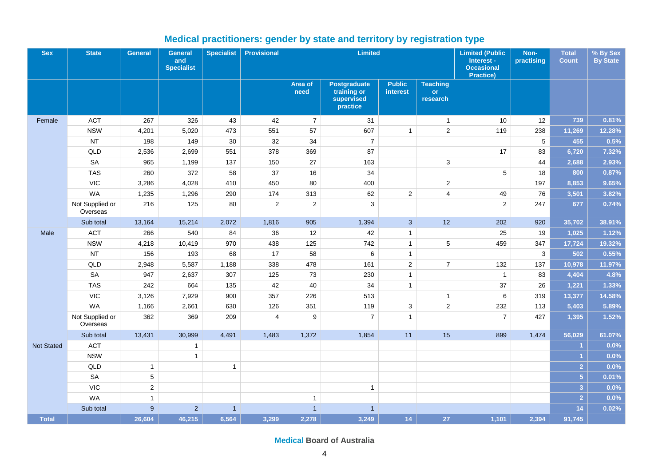<span id="page-3-0"></span>

| <b>Sex</b>   | <b>State</b>                | General      | <b>General</b><br>and<br><b>Specialist</b> | <b>Specialist</b> | <b>Provisional</b> |                  | <b>Limited</b>                                               |                                  |                                          | <b>Limited (Public</b><br>Interest -<br><b>Occasional</b><br><b>Practice)</b> | Non-<br>practising | <b>Total</b><br><b>Count</b> | % By Sex<br><b>By State</b> |
|--------------|-----------------------------|--------------|--------------------------------------------|-------------------|--------------------|------------------|--------------------------------------------------------------|----------------------------------|------------------------------------------|-------------------------------------------------------------------------------|--------------------|------------------------------|-----------------------------|
|              |                             |              |                                            |                   |                    | Area of<br>need  | <b>Postgraduate</b><br>training or<br>supervised<br>practice | <b>Public</b><br><b>interest</b> | <b>Teaching</b><br><b>or</b><br>research |                                                                               |                    |                              |                             |
| Female       | <b>ACT</b>                  | 267          | 326                                        | 43                | 42                 | $\overline{7}$   | 31                                                           |                                  | $\mathbf{1}$                             | 10                                                                            | 12                 | 739                          | 0.81%                       |
|              | <b>NSW</b>                  | 4,201        | 5,020                                      | 473               | 551                | 57               | 607                                                          | $\mathbf{1}$                     | $\overline{c}$                           | 119                                                                           | 238                | 11,269                       | 12.28%                      |
|              | <b>NT</b>                   | 198          | 149                                        | 30                | 32                 | 34               | $\overline{7}$                                               |                                  |                                          |                                                                               | 5                  | 455                          | 0.5%                        |
|              | QLD                         | 2,536        | 2,699                                      | 551               | 378                | 369              | 87                                                           |                                  |                                          | 17                                                                            | 83                 | 6,720                        | 7.32%                       |
|              | <b>SA</b>                   | 965          | 1,199                                      | 137               | 150                | 27               | 163                                                          |                                  | 3                                        |                                                                               | 44                 | 2,688                        | 2.93%                       |
|              | <b>TAS</b>                  | 260          | 372                                        | 58                | 37                 | 16               | 34                                                           |                                  |                                          | 5                                                                             | 18                 | 800                          | 0.87%                       |
|              | <b>VIC</b>                  | 3,286        | 4,028                                      | 410               | 450                | 80               | 400                                                          |                                  | $\overline{2}$                           |                                                                               | 197                | 8,853                        | 9.65%                       |
|              | <b>WA</b>                   | 1,235        | 1,296                                      | 290               | 174                | 313              | 62                                                           | $\overline{c}$                   | $\overline{4}$                           | 49                                                                            | 76                 | 3,501                        | 3.82%                       |
|              | Not Supplied or<br>Overseas | 216          | 125                                        | 80                | $\mathbf 2$        | $\mathbf 2$      | $\mathbf{3}$                                                 |                                  |                                          | $\overline{2}$                                                                | 247                | 677                          | 0.74%                       |
|              | Sub total                   | 13,164       | 15,214                                     | 2,072             | 1,816              | 905              | 1,394                                                        | $\mathbf{3}$                     | 12                                       | 202                                                                           | 920                | 35,702                       | 38.91%                      |
| Male         | <b>ACT</b>                  | 266          | 540                                        | 84                | 36                 | 12               | 42                                                           | $\mathbf{1}$                     |                                          | 25                                                                            | 19                 | 1,025                        | 1.12%                       |
|              | <b>NSW</b>                  | 4,218        | 10,419                                     | 970               | 438                | 125              | 742                                                          | $\mathbf{1}$                     | 5                                        | 459                                                                           | 347                | 17,724                       | 19.32%                      |
|              | <b>NT</b>                   | 156          | 193                                        | 68                | 17                 | 58               | $\,6\,$                                                      | $\mathbf{1}$                     |                                          |                                                                               | 3                  | 502                          | 0.55%                       |
|              | QLD                         | 2,948        | 5,587                                      | 1,188             | 338                | 478              | 161                                                          | $\overline{2}$                   | $\overline{7}$                           | 132                                                                           | 137                | 10,978                       | 11.97%                      |
|              | <b>SA</b>                   | 947          | 2,637                                      | 307               | 125                | 73               | 230                                                          | $\mathbf{1}$                     |                                          | $\mathbf{1}$                                                                  | 83                 | 4,404                        | 4.8%                        |
|              | <b>TAS</b>                  | 242          | 664                                        | 135               | 42                 | 40               | 34                                                           | $\mathbf{1}$                     |                                          | 37                                                                            | 26                 | 1,221                        | 1.33%                       |
|              | <b>VIC</b>                  | 3,126        | 7,929                                      | 900               | 357                | 226              | 513                                                          |                                  | $\mathbf{1}$                             | 6                                                                             | 319                | 13,377                       | 14.58%                      |
|              | <b>WA</b>                   | 1,166        | 2,661                                      | 630               | 126                | 351              | 119                                                          | 3                                | $\overline{c}$                           | 232                                                                           | 113                | 5,403                        | 5.89%                       |
|              | Not Supplied or<br>Overseas | 362          | 369                                        | 209               | $\overline{4}$     | $\boldsymbol{9}$ | $\overline{7}$                                               | $\overline{1}$                   |                                          | $\overline{7}$                                                                | 427                | 1,395                        | 1.52%                       |
|              | Sub total                   | 13,431       | 30,999                                     | 4,491             | 1,483              | 1,372            | 1,854                                                        | 11                               | 15                                       | 899                                                                           | 1,474              | 56,029                       | 61.07%                      |
| Not Stated   | <b>ACT</b>                  |              | $\mathbf{1}$                               |                   |                    |                  |                                                              |                                  |                                          |                                                                               |                    | 1                            | 0.0%                        |
|              | <b>NSW</b>                  |              | $\overline{1}$                             |                   |                    |                  |                                                              |                                  |                                          |                                                                               |                    | $\overline{1}$               | 0.0%                        |
|              | QLD                         | $\mathbf{1}$ |                                            | $\mathbf{1}$      |                    |                  |                                                              |                                  |                                          |                                                                               |                    | 2 <sup>1</sup>               | 0.0%                        |
|              | <b>SA</b>                   | $\sqrt{5}$   |                                            |                   |                    |                  |                                                              |                                  |                                          |                                                                               |                    | $\overline{5}$               | 0.01%                       |
|              | <b>VIC</b>                  | $\sqrt{2}$   |                                            |                   |                    |                  | $\mathbf{1}$                                                 |                                  |                                          |                                                                               |                    | $\overline{3}$               | 0.0%                        |
|              | <b>WA</b>                   | $\mathbf{1}$ |                                            |                   |                    | $\mathbf{1}$     |                                                              |                                  |                                          |                                                                               |                    | $\overline{2}$               | 0.0%                        |
|              | Sub total                   | 9            | $\overline{2}$                             | $\overline{1}$    |                    | $\overline{1}$   | $\overline{1}$                                               |                                  |                                          |                                                                               |                    | 14                           | 0.02%                       |
| <b>Total</b> |                             | 26,604       | 46,215                                     | 6,564             | 3,299              | 2,278            | 3,249                                                        | 14 <sup>°</sup>                  | 27                                       | 1,101                                                                         | 2,394              | 91,745                       |                             |

## **Medical practitioners: gender by state and territory by registration type**